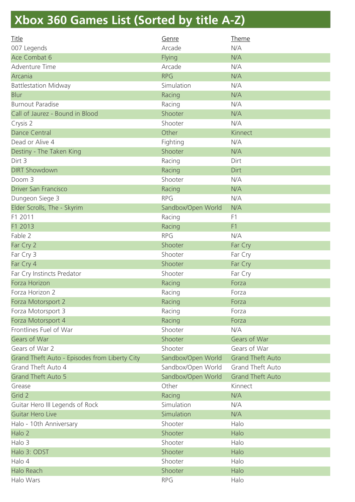## **Xbox 360 Games List (Sorted by title A-Z)**

| <b>Title</b>                                  | Genre              | <b>Theme</b>            |
|-----------------------------------------------|--------------------|-------------------------|
| 007 Legends                                   | Arcade             | N/A                     |
| Ace Combat 6                                  | Flying             | N/A                     |
| Adventure Time                                | Arcade             | N/A                     |
| Arcania                                       | <b>RPG</b>         | N/A                     |
| <b>Battlestation Midway</b>                   | Simulation         | N/A                     |
| <b>Blur</b>                                   | Racing             | N/A                     |
| <b>Burnout Paradise</b>                       | Racing             | N/A                     |
| Call of Jaurez - Bound in Blood               | Shooter            | N/A                     |
| Crysis 2                                      | Shooter            | N/A                     |
| <b>Dance Central</b>                          | Other              | Kinnect                 |
| Dead or Alive 4                               | Fighting           | N/A                     |
| Destiny - The Taken King                      | Shooter            | N/A                     |
| Dirt 3                                        | Racing             | Dirt                    |
| <b>DIRT Showdown</b>                          | Racing             | Dirt                    |
| Doom 3                                        | Shooter            | N/A                     |
| <b>Driver San Francisco</b>                   | Racing             | N/A                     |
| Dungeon Siege 3                               | <b>RPG</b>         | N/A                     |
| Elder Scrolls, The - Skyrim                   | Sandbox/Open World | N/A                     |
| F1 2011                                       | Racing             | F1                      |
| F1 2013                                       | Racing             | F <sub>1</sub>          |
| Fable 2                                       | <b>RPG</b>         | N/A                     |
| Far Cry 2                                     | Shooter            | Far Cry                 |
| Far Cry 3                                     | Shooter            | Far Cry                 |
| Far Cry 4                                     | Shooter            | Far Cry                 |
| Far Cry Instincts Predator                    | Shooter            | Far Cry                 |
| Forza Horizon                                 | Racing             | Forza                   |
| Forza Horizon 2                               | Racing             | Forza                   |
| Forza Motorsport 2                            | Racing             | Forza                   |
| Forza Motorsport 3                            | Racing             | Forza                   |
| Forza Motorsport 4                            | Racing             | Forza                   |
| Frontlines Fuel of War                        | Shooter            | N/A                     |
| <b>Gears of War</b>                           | Shooter            | Gears of War            |
| Gears of War 2                                | Shooter            | Gears of War            |
| Grand Theft Auto - Episodes from Liberty City | Sandbox/Open World | <b>Grand Theft Auto</b> |
| Grand Theft Auto 4                            | Sandbox/Open World | <b>Grand Theft Auto</b> |
| <b>Grand Theft Auto 5</b>                     | Sandbox/Open World | <b>Grand Theft Auto</b> |
| Grease                                        | Other              | Kinnect                 |
| Grid 2                                        | Racing             | N/A                     |
| Guitar Hero III Legends of Rock               | Simulation         | N/A                     |
| <b>Guitar Hero Live</b>                       | Simulation         | N/A                     |
| Halo - 10th Anniversary                       | Shooter            | Halo                    |
| Halo 2                                        | Shooter            | Halo                    |
| Halo 3                                        | Shooter            | Halo                    |
| Halo 3: ODST                                  | Shooter            | Halo                    |
| Halo 4                                        | Shooter            | Halo                    |
| Halo Reach                                    | Shooter            | Halo                    |
| Halo Wars                                     | <b>RPG</b>         | Halo                    |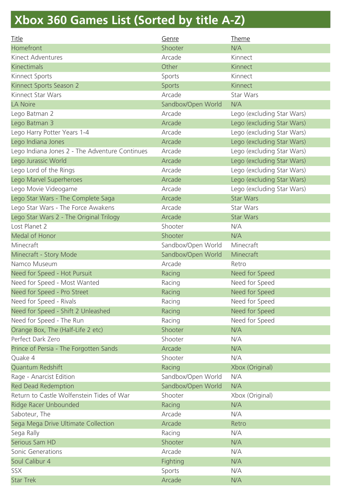## **Xbox 360 Games List (Sorted by title A-Z)**

| <b>Title</b>                                   | Genre              | <b>Theme</b>               |
|------------------------------------------------|--------------------|----------------------------|
| Homefront                                      | Shooter            | N/A                        |
| Kinect Adventures                              | Arcade             | Kinnect                    |
| <b>Kinectimals</b>                             | Other              | Kinnect                    |
| Kinnect Sports                                 | Sports             | Kinnect                    |
| Kinnect Sports Season 2                        | <b>Sports</b>      | Kinnect                    |
| Kinnect Star Wars                              | Arcade             | Star Wars                  |
| <b>LA Noire</b>                                | Sandbox/Open World | N/A                        |
| Lego Batman 2                                  | Arcade             | Lego (excluding Star Wars) |
| Lego Batman 3                                  | Arcade             | Lego (excluding Star Wars) |
| Lego Harry Potter Years 1-4                    | Arcade             | Lego (excluding Star Wars) |
| Lego Indiana Jones                             | Arcade             | Lego (excluding Star Wars) |
| Lego Indiana Jones 2 - The Adventure Continues | Arcade             | Lego (excluding Star Wars) |
| Lego Jurassic World                            | Arcade             | Lego (excluding Star Wars) |
| Lego Lord of the Rings                         | Arcade             | Lego (excluding Star Wars) |
| Lego Marvel Superheroes                        | Arcade             | Lego (excluding Star Wars) |
| Lego Movie Videogame                           | Arcade             | Lego (excluding Star Wars) |
| Lego Star Wars - The Complete Saga             | Arcade             | <b>Star Wars</b>           |
| Lego Star Wars - The Force Awakens             | Arcade             | Star Wars                  |
| Lego Star Wars 2 - The Original Trilogy        | Arcade             | <b>Star Wars</b>           |
| Lost Planet 2                                  | Shooter            | N/A                        |
| Medal of Honor                                 | Shooter            | N/A                        |
| Minecraft                                      | Sandbox/Open World | Minecraft                  |
| Minecraft - Story Mode                         | Sandbox/Open World | Minecraft                  |
| Namco Museum                                   | Arcade             | Retro                      |
| Need for Speed - Hot Pursuit                   | Racing             | Need for Speed             |
| Need for Speed - Most Wanted                   | Racing             | Need for Speed             |
| Need for Speed - Pro Street                    | Racing             | Need for Speed             |
| Need for Speed - Rivals                        | Racing             | Need for Speed             |
| Need for Speed - Shift 2 Unleashed             | Racing             | Need for Speed             |
| Need for Speed - The Run                       | Racing             | Need for Speed             |
| Orange Box, The (Half-Life 2 etc)              | Shooter            | N/A                        |
| Perfect Dark Zero                              | Shooter            | N/A                        |
| Prince of Persia - The Forgotten Sands         | Arcade             | N/A                        |
| Quake 4                                        | Shooter            | N/A                        |
| Quantum Redshift                               | Racing             | Xbox (Original)            |
| Rage - Anarcist Edition                        | Sandbox/Open World | N/A                        |
| <b>Red Dead Redemption</b>                     | Sandbox/Open World | N/A                        |
| Return to Castle Wolfenstein Tides of War      | Shooter            | Xbox (Original)            |
| Ridge Racer Unbounded                          | Racing             | N/A                        |
| Saboteur, The                                  | Arcade             | N/A                        |
| Sega Mega Drive Ultimate Collection            | Arcade             | Retro                      |
| Sega Rally                                     | Racing             | N/A                        |
| Serious Sam HD                                 | Shooter            | N/A                        |
| Sonic Generations                              | Arcade             | N/A                        |
| Soul Calibur 4                                 | Fighting           | N/A                        |
| SSX                                            | Sports             | N/A                        |
| <b>Star Trek</b>                               | Arcade             | N/A                        |